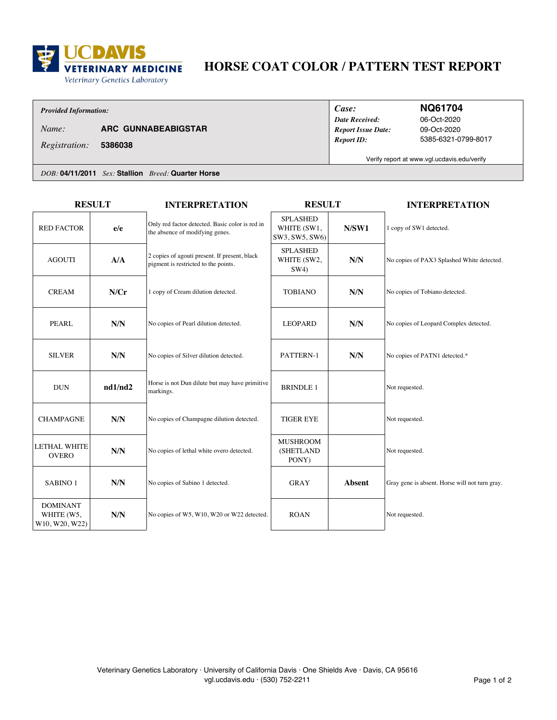

# **HORSE COAT COLOR / PATTERN TEST REPORT**

### *Provided Information:*

*Name:* **ARC GUNNABEABIGSTAR**

*Date Received: Case: Report ID: Report Issue Date:*

### **NQ61704**

09-Oct-2020 5385-6321-0799-8017 06-Oct-2020

**5386038** *Registration:*

Verify report at www.vgl.ucdavis.edu/verify

*DOB:* **04/11/2011** *Sex:* **Stallion** *Breed:* **Quarter Horse**

| <b>RESULT</b>                                   |         | <b>INTERPRETATION</b>                                                                 | <b>RESULT</b>                                    |               | <b>INTERPRETATION</b>                          |
|-------------------------------------------------|---------|---------------------------------------------------------------------------------------|--------------------------------------------------|---------------|------------------------------------------------|
| <b>RED FACTOR</b>                               | e/e     | Only red factor detected. Basic color is red in<br>the absence of modifying genes.    | <b>SPLASHED</b><br>WHITE (SW1,<br>SW3, SW5, SW6) | N/SW1         | 1 copy of SW1 detected.                        |
| <b>AGOUTI</b>                                   | A/A     | 2 copies of agouti present. If present, black<br>pigment is restricted to the points. | <b>SPLASHED</b><br>WHITE (SW2,<br>SW4)           | N/N           | No copies of PAX3 Splashed White detected.     |
| <b>CREAM</b>                                    | N/Cr    | 1 copy of Cream dilution detected.                                                    | <b>TOBIANO</b>                                   | N/N           | No copies of Tobiano detected.                 |
| <b>PEARL</b>                                    | N/N     | No copies of Pearl dilution detected.                                                 | <b>LEOPARD</b>                                   | N/N           | No copies of Leopard Complex detected.         |
| <b>SILVER</b>                                   | N/N     | No copies of Silver dilution detected.                                                | PATTERN-1                                        | N/N           | No copies of PATN1 detected.*                  |
| <b>DUN</b>                                      | nd1/nd2 | Horse is not Dun dilute but may have primitive<br>markings.                           | <b>BRINDLE 1</b>                                 |               | Not requested.                                 |
| <b>CHAMPAGNE</b>                                | N/N     | No copies of Champagne dilution detected.                                             | <b>TIGER EYE</b>                                 |               | Not requested.                                 |
| <b>LETHAL WHITE</b><br><b>OVERO</b>             | N/N     | No copies of lethal white overo detected.                                             | <b>MUSHROOM</b><br>(SHETLAND<br>PONY)            |               | Not requested.                                 |
| SABINO <sub>1</sub>                             | N/N     | No copies of Sabino 1 detected.                                                       | <b>GRAY</b>                                      | <b>Absent</b> | Gray gene is absent. Horse will not turn gray. |
| <b>DOMINANT</b><br>WHITE (W5,<br>W10, W20, W22) | N/N     | No copies of W5, W10, W20 or W22 detected.                                            | <b>ROAN</b>                                      |               | Not requested.                                 |